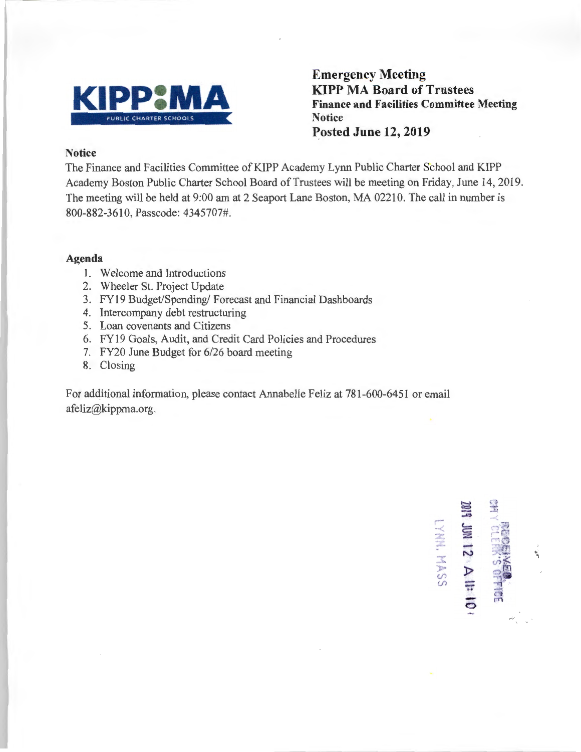

**Emergency Meeting KIPP MA Board of Trustees Finance and Facilities Committee Meeting Notice Posted June 12, 2019** 

### **Notice**

The Finance and Facilities Committee of KIPP Academy Lynn Public Charter School and KIPP Academy Boston Public Charter School Board of Trustees will be meeting on Friday, June 14, 2019. The meeting will be held at 9:00 am at 2 Seaport Lane Boston, MA 02210. The call in number is 800-882-3610, Passcode: 4345707#.

#### **Agenda**

- 1. Welcome and Introductions
- 2. Wheeler St. Project Update
- 3. FY19 Budget/Spending/ Forecast and Financial Dashboards
- 4. Intercompany debt restructuring
- 5. Loan covenants and Citizens
- 6. FY19 Goals, Audit, and Credit Card Policies and Procedures
- 7. FY20 June Budget for 6/26 board meeting
- 8. Closing

For additional information, please contact Annabelle Feliz at 781-600-6451 or email afeliz@kippma.org.

 $4$  JM 12  $\land$  11 HO  $\prime$ LYHH. MASS ٦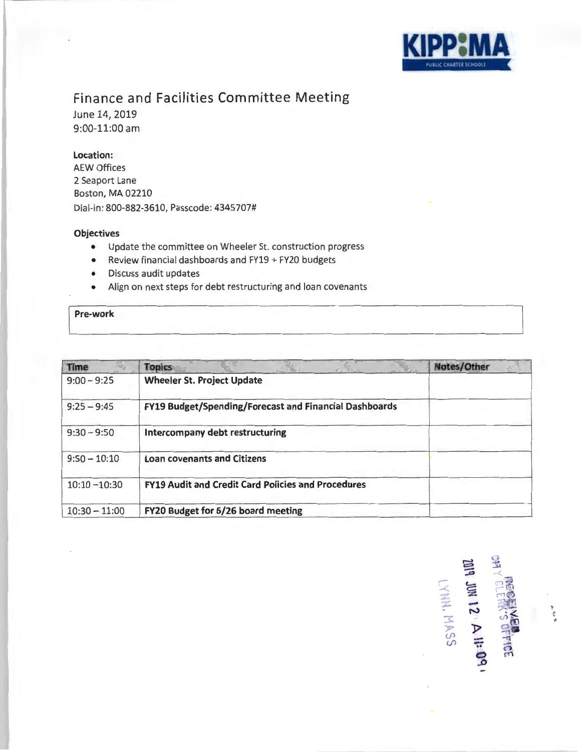

## Finance and Facilities Committee Meeting

June 14, 2019 9:00-11:00 am

#### Location:

AEW Offices 2 Seaport Lane Boston, MA 02210 Dial-in: 800-882-3610, Passcode: 4345707#

#### **Objectives**

- Update the committee on Wheeler St. construction progress
- Review financial dashboards and FY19 + FY20 budgets
- Discuss audit updates
- Align on next steps for debt restructuring and loan covenants

## Pre-work

| Time            | <b>Topics</b>                                             | Notes/Other |
|-----------------|-----------------------------------------------------------|-------------|
| $9:00 - 9:25$   | <b>Wheeler St. Project Update</b>                         |             |
| $9:25 - 9:45$   | FY19 Budget/Spending/Forecast and Financial Dashboards    |             |
| $9:30 - 9:50$   | Intercompany debt restructuring                           |             |
| $9:50 - 10:10$  | <b>Loan covenants and Citizens</b>                        |             |
| $10:10 - 10:30$ | <b>FY19 Audit and Credit Card Policies and Procedures</b> |             |
| $10:30 - 11:00$ | FY20 Budget for 6/26 board meeting                        |             |

~ ~ -"" - -< *\_a*   $\leq$   $\leq$   $\frac{1}{2}$ :r.: . - . <sup>~</sup>N .,. <.h <sup>~</sup>-t :t. o\i • *-p* J> (fl - " (fl -.. ~ . *<sup>n</sup> . C!>* f'1°' *..D*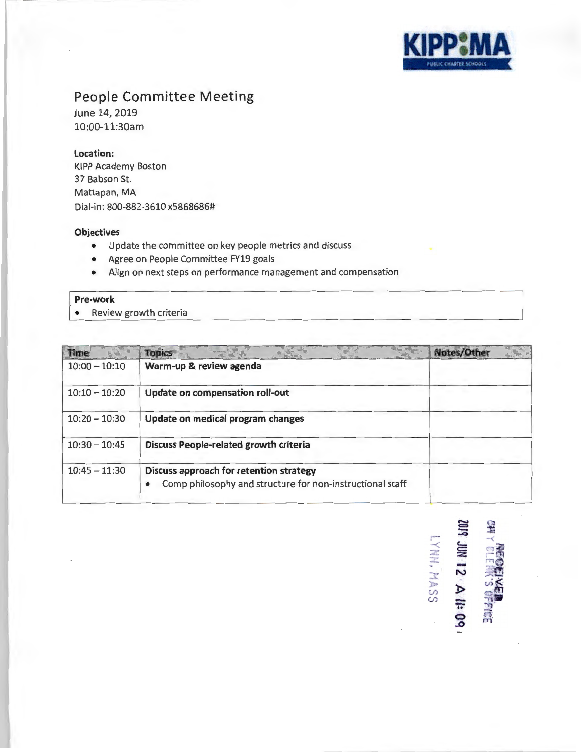

**r-.JI**  ~ **c:::t**  -**...0**  -< -< **c....** <sup>n</sup> :W z <= **z** . m .,o

**12: 3<br>2. A il: (<br>MASS** 

**0** n'. **..t:>** ni

# **People Committee Meeting**

June 14, 2019 10:00-11:30am

#### **Location:**

KIPP Academy Boston 37 Babson St. Mattapan, MA Dial-in: 800-882-3610 x5868686#

#### **Objectives**

- Update the committee on key people metrics and discuss
- Agree on People Committee FY19 goals
- Align on next steps on performance management and compensation

#### **Pre-work**

. • Review growth criteria

| <b>Time</b>     | Topics                                                                                                            | Notes/Other |
|-----------------|-------------------------------------------------------------------------------------------------------------------|-------------|
| $10:00 - 10:10$ | Warm-up & review agenda                                                                                           |             |
| $10:10 - 10:20$ | Update on compensation roll-out                                                                                   |             |
| $10:20 - 10:30$ | Update on medical program changes                                                                                 |             |
| $10:30 - 10:45$ | <b>Discuss People-related growth criteria</b>                                                                     |             |
| $10:45 - 11:30$ | Discuss approach for retention strategy<br>Comp philosophy and structure for non-instructional staff<br>$\bullet$ |             |